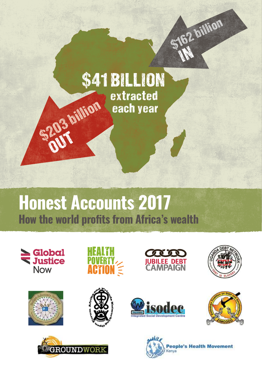

# **Honest Accounts 2017 How the world profits from Africa's wealth**

















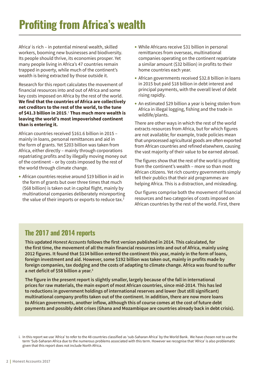## **Profiting from Africa's wealth**

Africa' is rich – in potential mineral wealth, skilled workers, booming new businesses and biodiversity. Its people should thrive, its economies prosper. Yet many people living in Africa's 47 countries remain trapped in poverty, while much of the continent's wealth is being extracted by those outside it.

Research for this report calculates the movement of financial resources into and out of Africa and some key costs imposed on Africa by the rest of the world. **We find that the countries of Africa are collectively net creditors to the rest of the world, to the tune of \$41.3 billion in 2015**. <sup>1</sup> **Thus much more wealth is leaving the world's most impoverished continent than is entering it.**

African countries received \$161.6 billion in 2015 – mainly in loans, personal remittances and aid in the form of grants. Yet \$203 billion was taken from Africa, either directly – mainly through corporations repatriating profits and by illegally moving money out of the continent – or by costs imposed by the rest of the world through climate change.

• African countries receive around \$19 billion in aid in the form of grants but over three times that much (\$68 billion) is taken out in capital flight, mainly by multinational companies deliberately misreporting the value of their imports or exports to reduce tax.<sup>2</sup>

- While Africans receive \$31 billion in personal remittances from overseas, multinational companies operating on the continent repatriate a similar amount (\$32 billion) in profits to their home countries each year.
- African governments received \$32.8 billion in loans in 2015 but paid \$18 billion in debt interest and principal payments, with the overall level of debt rising rapidly.
- An estimated \$29 billion a year is being stolen from Africa in illegal logging, fishing and the trade in wildlife/plants.

There are other ways in which the rest of the world extracts resources from Africa, but for which figures are not available; for example, trade policies mean that unprocessed agricultural goods are often exported from African countries and refined elsewhere, causing the vast majority of their value to be earned abroad.

The figures show that the rest of the world is profiting from the continent's wealth – more so than most African citizens. Yet rich country governments simply tell their publics that their aid programmes are helping Africa. This is a distraction, and misleading.

Our figures comprise both the movement of financial resources and two categories of costs imposed on African countries by the rest of the world. First, there

## **The 2017 and 2014 reports**

**This updated Honest Accounts follows the first version published in 2014. This calculated, for the first time, the movement of all the main financial resources into and out of Africa, mainly using 2012 figures. It found that \$134 billion entered the continent this year, mainly in the form of loans, foreign investment and aid. However, some \$192 billion was taken out, mainly in profits made by foreign companies, tax dodging and the costs of adapting to climate change. Africa was found to suffer a net deficit of \$58 billion a year.<sup>3</sup>**

**The figure in the present report is slightly smaller, largely because of the fall in international prices for raw materials, the main export of most African countries, since mid-2014. This has led to reductions in government holdings of international reserves and lower (but still significant) multinational company profits taken out of the continent. In addition, there are now more loans to African governments, another inflow, although this of course comes at the cost of future debt payments and possibly debt crises (Ghana and Mozambique are countries already back in debt crisis).**

i. In this report we use 'Africa' to refer to the 48 countries classified as 'sub-Saharan Africa' by the World Bank. We have chosen not to use the term 'Sub-Saharan Africa due to the numerous problems associated with this term. However we recognise that 'Africa' is also problematic given that this report does not include North Africa.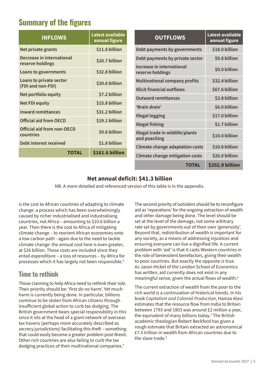## **Summary of the figures**

| <b>INFLOWS</b>                                 | <b>Latest available</b><br>annual figure |  | <b>OUTFLOWS</b>                                  | Latest available<br>annual figure |
|------------------------------------------------|------------------------------------------|--|--------------------------------------------------|-----------------------------------|
| Net private grants                             | \$11.8 billion                           |  | Debt payments by governments                     | \$18.0 billion                    |
| Decrease in international<br>reserve holdings  | \$20.7 billion<br>\$32.8 billion         |  | Debt payments by private sector                  | \$9.8 billion                     |
| Loans to governments                           |                                          |  | Increase in international<br>reserve holdings    | \$0.0 billion                     |
| Loans to private sector                        | \$20.6 billion                           |  | <b>Multinational company profits</b>             | \$32.4 billion                    |
| (FDI and non-FDI)                              |                                          |  | <b>Illicit financial outflows</b>                | \$67.6 billion                    |
| Net portfolio equity                           | \$7.2 billion                            |  | <b>Outward remittances</b>                       | \$3.8 billion                     |
| <b>Net FDI equity</b>                          | \$15.8 billion                           |  | 'Brain drain'                                    | \$6.0 billion                     |
| <b>Inward remittances</b>                      | \$31.2 billion<br>\$19.1 billion         |  |                                                  |                                   |
| <b>Official aid from OECD</b>                  |                                          |  | <b>Illegal logging</b>                           | \$17.0 billion                    |
|                                                |                                          |  | <b>Illegal fishing</b>                           | \$1.7 billion                     |
| <b>Official aid from non-OECD</b><br>countries | \$0.6 billion                            |  | Illegal trade in wildlife/plants<br>and poaching | \$10.0 billion                    |
| Debt interest received                         | \$1.8 billion                            |  |                                                  | \$10.6 billion                    |
| <b>TOTAL</b>                                   | \$161.6 billion                          |  | <b>Climate change adaptation costs</b>           |                                   |
|                                                |                                          |  | Climate change mitigation costs                  | \$26.0 billion                    |
|                                                |                                          |  | <b>TOTAL</b>                                     | \$202.9 billion                   |

#### **Net annual deficit: \$41.3 billion**

NB. A more detailed and referenced version of this table is in the appendix.

is the cost to African countries of adapting to climate change: a process which has been overwhelmingly caused by richer industrialised and industralising countries, not Africa – amounting to \$10.6 billion a year. Then there is the cost to Africa of mitigating climate change – to reorient African economies onto a low carbon path - again due to the need to tackle climate change: the annual cost here is even greater, at \$26 billion. These costs are included since they entail expenditure – a loss of resources – by Africa for processes which it has largely not been responsible.<sup>4</sup>

### **Time to rethink**

Those claiming to help Africa need to rethink their role. Their priority should be: 'first do no harm'. Yet much harm is currently being done. In particular, billions continue to be stolen from African citizens through insufficient global action to curb tax dodging. The British government bears special responsibility in this since it sits at the head of a giant network of overseas tax havens (perhaps more accurately described as secrecy jurisdictions) facilitating this theft – something that could easily become a greater problem post-Brexit. Other rich countries are also failing to curb the tax dodging practices of their multinational companies.5

The second priority of outsiders should be to reconfigure aid as 'reparations' for the ongoing extraction of wealth and other damage being done. The level should be set at the level of the damage, not some arbitrary rate set by governments out of their own 'generosity'. Beyond that, redistribution of wealth is important for any society, as a means of addressing injustices and ensuring everyone can live a dignified life. A current problem with 'aid' is that it casts Western countries in the role of benevolent benefactors, giving their wealth to poor countries. But exactly the opposite is true. As Jason Hickel of the London School of Economics has written, aid currently does not exist in any meaningful sense, given the actual flows of wealth.<sup>6</sup>

The current extraction of wealth from the poor to the rich world is a continuation of historical trends. In his book Capitalism and Colonial Production, Hamza Alavi estimates that the resource flow from India to Britain between 1793 and 1803 was around £2 million a year, the equivalent of many billions today.<sup>7</sup> The British academic theologian Robert Beckford has given a rough estimate that Britain extracted an astronomical £7.5 trillion in wealth from African countries due to the slave trade.<sup>8</sup>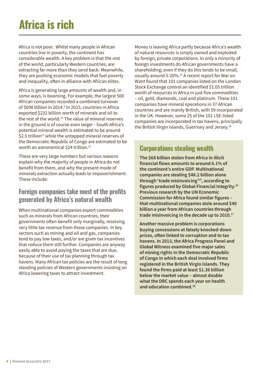## **Africa is rich**

Africa is not poor. Whilst many people in African countries live in poverty, the continent has considerable wealth. A key problem is that the rest of the world, particularly Western countries, are extracting far more than they send back. Meanwhile, they are pushing economic models that fuel poverty and inequality, often in alliance with African elites.

Africa is generating large amounts of wealth and, in some ways, is booming. For example, the largest 500 African companies recorded a combined turnover of \$698 billion in 2014.<sup>9</sup> In 2015, countries in Africa exported \$232 billion worth of minerals and oil to the rest of the world.<sup>10</sup> The value of mineral reserves in the ground is of course even larger - South Africa's potential mineral wealth is estimated to be around  $$2.5$  trillion<sup>11</sup> while the untapped mineral reserves of the Democratic Republic of Congo are estimated to be worth an astronomical \$24 trillion.<sup>12</sup>

These are very large numbers but various reasons explain why the majority of people in Africa do not benefit from them, and why the present mode of minerals extraction actually leads to impoverishment. These include:

### **Foreign companies take most of the profits generated by Africa's natural wealth**

When multinational companies export commodities such as minerals from African countries, their governments often benefit only marginally, receiving very little tax revenue from those companies. In key sectors such as mining and oil and gas, companies tend to pay low taxes, and/or are given tax incentives that reduce them still further. Companies are anyway easily able to avoid paying the taxes that are due, because of their use of tax planning through tax havens. Many African tax policies are the result of long standing policies of Western governments insisting on Africa lowering taxes to attract investment.

Money is leaving Africa partly because Africa's wealth of natural resources is simply owned and exploited by foreign, private corporations. In only a minority of foreign investments do African governments have a shareholding; even if they do this tends to be small, usually around 5-20%.<sup>13</sup> A recent report for War on Want found that 101 companies listed on the London Stock Exchange control an identified \$1.05 trillion worth of resources in Africa in just five commodities – oil, gold, diamonds, coal and platinum. These 101 companies have mineral operations in 37 African countries and are mainly British, with 59 incorporated in the UK. However, some 25 of the 101 LSE-listed companies are incorporated in tax havens, principally the British Virgin Islands, Guernsey and Jersey.<sup>14</sup>

## **Corporations stealing wealth**

**The \$68 billion stolen from Africa in illicit financial flows amounts to around 6.1% of the continent's entire GDP. Multinational companies are stealing \$48.2 billion alone through 'trade misinvoicing'<sup>15</sup>, according to figures produced by Global Financial Integrity.<sup>16</sup> Previous research by the UN Economic Commission for Africa found similar figures – that multinational companies stole around \$40 billion a year from African countries through trade misinvoicing in the decade up to 2010.<sup>17</sup>**

**Another massive problem is corporations buying concessions at falsely knocked-down prices, often linked to corruption and to tax havens. In 2013, the Africa Progress Panel and Global Witness examined five major sales of mining rights in the Democratic Republic of Congo in which each deal involved firms registered in the British Virgin Islands. They found the firms paid at least \$1.36 billion below the market value – almost double what the DRC spends each year on health and education combined.18**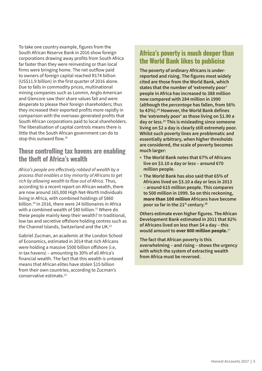To take one country example, figures from the South African Reserve Bank in 2016 show foreign corporations drawing away profits from South Africa far faster than they were reinvesting or than local firms were bringing home. The net outflow paid to owners of foreign capital reached R174 billion (US\$11.9 billion) in the first quarter of 2016 alone. Due to falls in commodity prices, multinational mining companies such as Lonmin, Anglo American and Glencore saw their share values fall and were desperate to please their foreign shareholders; thus they increased their exported profits more rapidly in comparison with the overseas-generated profits that South African corporations paid to local shareholders. The liberalisation of capital controls means there is little that the South African government can do to stop this outward flow.<sup>19</sup>

### **Those controlling tax havens are enabling the theft of Africa's wealth**

Africa's people are effectively robbed of wealth by a process that enables a tiny minority of Africans to get rich by allowing wealth to flow out of Africa. Thus, according to a recent report on African wealth, there are now around 165,000 High Net-Worth Individuals living in Africa, with combined holdings of \$860 billion.<sup>20</sup> In 2016, there were 24 billionaires in Africa with a combined wealth of \$80 billion.<sup>21</sup> Where do these people mainly keep their wealth? In traditional, low tax and secretive offshore holding centres such as the Channel Islands, Switzerland and the UK.<sup>22</sup>

Gabriel Zucman, an academic at the London School of Economics, estimated in 2014 that rich Africans were holding a massive \$500 billion offshore (i.e, in tax havens) – amounting to 30% of all Africa's financial wealth. The fact that this wealth is untaxed means that African elites have stolen \$15 billion from their own countries, according to Zucman's conservative estimate.23

### **Africa's poverty is much deeper than the World Bank likes to publicise**

**The poverty of ordinary Africans is underreported and rising. The figures most widely cited are those from the World Bank, which states that the number of 'extremely poor' people in Africa has increased to 388 million now compared with 284 million in 1990 (although the percentage has fallen, from 56% to 43%).<sup>24</sup> However, the World Bank defines the 'extremely poor' as those living on \$1.90 a day or less.<sup>25</sup> This is misleading since someone living on \$2 a day is clearly still extremely poor. Whilst such poverty lines are problematic and essentially arbitrary, when higher thresholds are considered, the scale of poverty becomes much larger:**

- • **The World Bank notes that 67% of Africans live on \$3.10 a day or less – around 670 million people.**
- • **The World Bank has also said that 65% of Africans lived on \$3.10 a day or less in 2013 – around 615 million people. This compares to 500 million in 1999. So on this reckoning, more than 100 million Africans have become poor so far in the 21st century.<sup>26</sup>**

**Others estimate even higher figures. The African Development Bank estimated in 2011 that 82% of Africans lived on less than \$4 a day – this would amount to over 800 million people.**<sup>27</sup>

**The fact that African poverty is this overwhelming – and rising – shows the urgency with which the system of extracting wealth from Africa must be reversed.**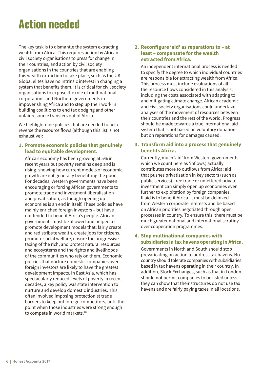## **Action needed**

The key task is to dismantle the system extracting wealth from Africa. This requires action by African civil society organisations to press for change in their countries, and action by civil society organisations in the countries that are enabling this wealth extraction to take place, such as the UK. Global elites have no intrinsic interest in changing a system that benefits them. It is critical for civil society organisations to expose the role of multinational corporations and Northern governments in impoverishing Africa and to step up their work in building coalitions to end tax dodging and other unfair resource transfers out of Africa.

We highlight nine policies that are needed to help reverse the resource flows (although this list is not exhaustive):

#### **1. Promote economic policies that genuinely lead to equitable development.**

Africa's economy has been growing at 5% in recent years but poverty remains deep and is rising, showing how current models of economic growth are not generally benefitting the poor. For decades, Western governments have been encouraging or forcing African governments to promote trade and investment liberalisation and privatisation, as though opening up economies is an end in itself. These policies have mainly enriched foreign investors – but have not tended to benefit Africa's people. African governments must be allowed and helped to promote development models that: fairly create and redistribute wealth, create jobs for citizens, promote social welfare, ensure the progressive taxing of the rich, and protect natural resources and ecosystems and the rights and livelihoods of the communities who rely on them. Economic policies that nurture domestic companies over foreign investors are likely to have the greatest development impacts. In East Asia, which has spectacularly reduced levels of poverty in recent decades, a key policy was state intervention to nurture and develop domestic industries. This often involved imposing protectionist trade barriers to keep out foreign competitors, until the point when those industries were strong enough to compete in world markets.<sup>28</sup>

#### **2. Reconfigure 'aid' as reparations to – at least – compensate for the wealth extracted from Africa.**

An independent international process is needed to specify the degree to which individual countries are responsible for extracting wealth from Africa. This process must include evaluations of all the resource flows considered in this analysis, including the costs associated with adapting to and mitigating climate change. African academic and civil society organisations could undertake analyses of the movement of resources between their countries and the rest of the world. Progress should be made towards a true international aid system that is not based on voluntary donations but on reparations for damages caused.

#### **3. Transform aid into a process that genuinely benefits Africa.**

Currently, much 'aid' from Western governments, which we count here as 'inflows', actually contributes more to outflows from Africa: aid that pushes privatisation in key sectors (such as public services), free trade or unfettered private investment can simply open up economies even further to exploitation by foreign companies. If aid is to benefit Africa, it must be delinked from Western corporate interests and be based on African priorities negotiated through open processes in country. To ensure this, there must be much greater national and international scrutiny over cooperation programmes.

#### **4. Stop multinational companies with subsidiaries in tax havens operating in Africa.**

Governments in North and South should stop prevaricating on action to address tax havens. No country should tolerate companies with subsidiaries based in tax havens operating in their country. In addition, Stock Exchanges, such as that in London, should not permit companies to be listed unless they can show that their structures do not use tax havens and are fairly paying taxes in all locations.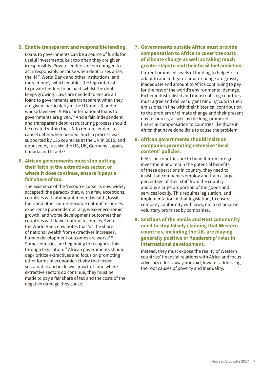#### **5. Enable transparent and responsible lending.**

Loans to governments can be a source of funds for useful investments, but too often they are given irresponsibly. Private lenders are encouraged to act irresponsibly because when debt crises arise, the IMF, World Bank and other institutions lend more money, which enables the high interest to private lenders to be paid, whilst the debt keeps growing. Laws are needed to ensure all loans to governments are transparent when they are given, particularly in the US and UK under whose laws over 90% of international loans to governments are given.<sup>29</sup> And a fair, independent and transparent debt restructuring process should be created within the UN to require lenders to cancel debts when needed. Such a process was supported by 136 countries at the UN in 2015, and opposed by just six: the US, UK, Germany, Japan, Canada and Israel.<sup>30</sup>

#### **6. African governments must stop putting their faith in the extractives sector, or where it does continue, ensure it pays a fair share of tax.**

The existence of the 'resource curse' is now widely accepted: the paradox that, with a few exceptions, countries with abundant mineral wealth, fossil fuels and other non-renewable natural resources experience poorer democracy, weaker economic growth, and worse development outcomes than countries with fewer natural resources. Even the World Bank now notes that 'as the share of national wealth from extractives increases, human development outcomes are worse'.<sup>31</sup> Some countries are beginning to recognize this through legislation.<sup>32</sup> African governments should deprioritize extractives and focus on promoting other forms of economic activity that foster sustainable and inclusive growth. If and where extractive sectors do continue, they must be made to pay a fair share of tax and the costs of the negative damage they cause.

#### **7. Governments outside Africa must provide compensation to Africa to cover the costs of climate change as well as taking much greater steps to end their fossil fuel addiction.**

Current promised levels of funding to help Africa adapt to and mitigate climate change are grossly inadequate and amount to Africa continuing to pay for the rest of the world's environmental damage. Richer industrialised and industrialising countries must agree and deliver urgent binding cuts in their emissions, in line with their historical contribution to the problem of climate change and their present day resources, as well as the long-promised financial compensation to countries like those in Africa that have done little to cause the problem.

#### **8. African governments should insist on companies promoting extensive 'local content' policies.**

If African countries are to benefit from foreign investment and retain the potential benefits of these operations in country, they need to insist that companies employ and train a large percentage of their staff from the country and buy a large proportion of the goods and services locally. This requires legislation, and implementation of that legislation, to ensure company conformity with laws, not a reliance on voluntary promises by companies.

#### **9. Sections of the media and NGO community need to stop falsely claiming that Western countries, including the UK, are playing generally positive or 'leadership' roles in international development.**

Instead, they must expose the reality of Western countries' financial relations with Africa and focus advocacy efforts away from aid, towards addressing the root causes of poverty and inequality.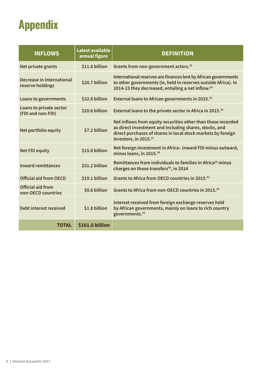## **Appendix**

| <b>INFLOWS</b>                                 | <b>Latest available</b><br>annual figure | <b>DEFINITION</b>                                                                                                                                                                                                           |
|------------------------------------------------|------------------------------------------|-----------------------------------------------------------------------------------------------------------------------------------------------------------------------------------------------------------------------------|
| Net private grants                             | \$11.8 billion                           | Grants from non-government actors. <sup>33</sup>                                                                                                                                                                            |
| Decrease in international<br>reserve holdings  | \$20.7 billion                           | International reserves are finances lent by African governments<br>to other governments (ie, held in reserves outside Africa). In<br>2014-15 they decreased, entailing a net inflow. <sup>34</sup>                          |
| Loans to governments                           | \$32.8 billion                           | External loans to African governments in 2015. <sup>35</sup>                                                                                                                                                                |
| Loans to private sector<br>(FDI and non-FDI)   | \$20.6 billion                           | External loans to the private sector in Africa in 2015. <sup>36</sup>                                                                                                                                                       |
| Net portfolio equity                           | \$7.2 billion                            | Net inflows from equity securities other than those recorded<br>as direct investment and including shares, stocks, and<br>direct purchases of shares in local stock markets by foreign<br>investors, in 2015. <sup>37</sup> |
| <b>Net FDI equity</b>                          | \$15.8 billion                           | Net foreign investment in Africa-inward FDI minus outward,<br>minus loans, in 2015. <sup>38</sup>                                                                                                                           |
| <b>Inward remittances</b>                      | \$31.2 billion                           | Remittances from individuals to families in Africa <sup>39</sup> minus<br>charges on those transfers <sup>40</sup> , in 2014                                                                                                |
| <b>Official aid from OECD</b>                  | \$19.1 billion                           | Grants to Africa from OECD countries in 2015. <sup>41</sup>                                                                                                                                                                 |
| <b>Official aid from</b><br>non-OECD countries | \$0.6 billion                            | Grants to Africa from non-OECD countries in 2015. <sup>42</sup>                                                                                                                                                             |
| Debt interest received                         | \$1.8 billion                            | Interest received from foreign exchange reserves held<br>by African governments, mainly on loans to rich country<br>governments. <sup>43</sup>                                                                              |
| <b>TOTAL</b>                                   | \$161.6 billion                          |                                                                                                                                                                                                                             |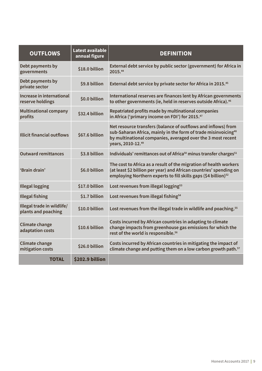| <b>OUTFLOWS</b>                                   | Latest available<br>annual figure | <b>DEFINITION</b>                                                                                                                                                                                                               |
|---------------------------------------------------|-----------------------------------|---------------------------------------------------------------------------------------------------------------------------------------------------------------------------------------------------------------------------------|
| Debt payments by<br>governments                   | \$18.0 billion                    | External debt service by public sector (government) for Africa in<br>2015.44                                                                                                                                                    |
| Debt payments by<br>private sector                | \$9.8 billion                     | External debt service by private sector for Africa in 2015. <sup>45</sup>                                                                                                                                                       |
| Increase in international<br>reserve holdings     | \$0.0 billion                     | International reserves are finances lent by African governments<br>to other governments (ie, held in reserves outside Africa). <sup>46</sup>                                                                                    |
| <b>Multinational company</b><br>profits           | \$32.4 billion                    | Repatriated profits made by multinational companies<br>in Africa ('primary income on FDI') for 2015. <sup>47</sup>                                                                                                              |
| <b>Illicit financial outflows</b>                 | \$67.6 billion                    | Net resource transfers (balance of outflows and inflows) from<br>sub-Saharan Africa, mainly in the form of trade misinvoicing <sup>48</sup><br>by multinational companies, averaged over the 3 most recent<br>years, 2010-12.49 |
| <b>Outward remittances</b>                        | \$3.8 billion                     | Individuals' remittances out of Africa <sup>50</sup> minus transfer charges <sup>51</sup>                                                                                                                                       |
| 'Brain drain'                                     | \$6.0 billion                     | The cost to Africa as a result of the migration of health workers<br>(at least \$2 billion per year) and African countries' spending on<br>employing Northern experts to fill skills gaps (\$4 billion) <sup>52</sup>           |
| <b>Illegal logging</b>                            | \$17.0 billion                    | Lost revenues from illegal logging <sup>53</sup>                                                                                                                                                                                |
| <b>Illegal fishing</b>                            | \$1.7 billion                     | Lost revenues from illegal fishing <sup>54</sup>                                                                                                                                                                                |
| Illegal trade in wildlife/<br>plants and poaching | \$10.0 billion                    | Lost revenues from the illegal trade in wildlife and poaching. <sup>55</sup>                                                                                                                                                    |
| <b>Climate change</b><br>adaptation costs         | \$10.6 billion                    | Costs incurred by African countries in adapting to climate<br>change impacts from greenhouse gas emissions for which the<br>rest of the world is responsible. <sup>56</sup>                                                     |
| <b>Climate change</b><br>mitigation costs         | \$26.0 billion                    | Costs incurred by African countries in mitigating the impact of<br>climate change and putting them on a low carbon growth path. <sup>57</sup>                                                                                   |
| <b>TOTAL</b>                                      | \$202.9 billion                   |                                                                                                                                                                                                                                 |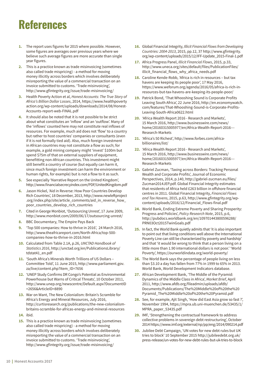## **References**

- **1.** The report uses figures for 2015 where possible. However, some figures are averages over previous years where we believe such average figures are more accurate than single year figures.
- **2.** This is a practice known as trade misinvoicing (sometimes also called trade mispricing) - a method for moving money illicitly across borders which involves deliberately misreporting the value of a commercial transaction on an invoice submitted to customs. 'Trade misinvoicing', http://[www.gfintegrity.org/issue/trade-misinvoicing/](http://www.gfintegrity.org/issue/trade-misinvoicing/)
- **3.** Health Poverty Action et al, Honest Accounts: The True Story of Africa's Billion Dollar Losses, 2014, https:/[/www.healthpoverty](http://www.healthpoverty
action.org/wp-content/uploads/downloads/2014/08/Honest-Accounts-report-web-FINAL.pdf
) [action.org/wp-content/uploads/downloads/2014/08/Honest-](http://www.healthpoverty
action.org/wp-content/uploads/downloads/2014/08/Honest-Accounts-report-web-FINAL.pdf
)[Accounts-report-web-FINAL.pdf](http://www.healthpoverty
action.org/wp-content/uploads/downloads/2014/08/Honest-Accounts-report-web-FINAL.pdf
)
- **4.** It should also be noted that it is not possible to be strict about what constitutes an 'inflow' and an 'outflow'. Many of the 'inflows' counted here may not constitute real inflows of resources. For example, much aid does not 'flow' to a country but rather to host countries' companies or consultants (even if it is not formally tied aid). Also, much foreign investment in African countries may not constitute a flow as such; for example, a gold mining company might 'invest' \$100m but spend \$75m of that on external suppliers of equipment, benefitting non-African countries. This investment might still benefit a country of course (but equally can harm it, since much foreign investment can harm the environment or human rights, for example) but is not a flow to it as such.
- **5.** See especially 'Narrative Report on the United Kingdom', http://[www.financialsecrecyindex.com/PDF/UnitedKingdom.pdf](http://www.financialsecrecyindex.com/PDF/UnitedKingdom.pdf
)
- **6.** Jason Hickel, 'Aid in Reverse: How Poor Countries Develop Rich Countries', 18 December, 2013, http:/[/www.newleftproject](http://www.newleftproject
.org/index.php/site/article_comments/aid_in_reverse_how_poor_countries_develop_rich_countries
) [.org/index.php/site/article\\_comments/aid\\_in\\_reverse\\_how\\_](http://www.newleftproject
.org/index.php/site/article_comments/aid_in_reverse_how_poor_countries_develop_rich_countries
) [poor\\_countries\\_develop\\_rich\\_countries](http://www.newleftproject
.org/index.php/site/article_comments/aid_in_reverse_how_poor_countries_develop_rich_countries
)
- **7.** Cited in George Monbiot, 'Outsourcing Unrest', 17 June 2009, <http://www.monbiot.com/2009/06/17/outsourcing-unrest/>
- **8.** BBC Documentary, The Empire Pays Back
- **9.** 'Top 500 companies: How to thrive in 2016', 24 March 2016, [http://www.theafricareport.com/North-Africa/top-500](http://www.theafricareport.com/North-Africa/top-500-companies-how-to-thrive-in-2016.html
) [companies-how-to-thrive-in-2016.html](http://www.theafricareport.com/North-Africa/top-500-companies-how-to-thrive-in-2016.html
)
- **10.** Calculated from Table 2.1A, p.26, UNCTAD Handbook of Statistics 2016, http:/[/unctad.org/en/PublicationsLibrary/](http://unctad.org/en/PublicationsLibrary/tdstat41_en.pdf
) [tdstat41\\_en.pdf](http://unctad.org/en/PublicationsLibrary/tdstat41_en.pdf
)
- **11.** 'South Africa's Minerals Worth Trillions of US Dollars Committee Told', 11 June 2015, h[ttp://www.parliament.gov.](http://www.parliament.gov.za/live/content.php?Item_ID=7656
) [za/live/content.php?Item\\_ID=7656](http://www.parliament.gov.za/live/content.php?Item_ID=7656
)
- **12.** 'UNEP Study Confirms DR Congo's Potential as Environmental Powerhouse but Warns of Critical Threats', 10 October 2011, http://[www.unep.org/newscentre/Default.aspx?DocumentID](http://www.unep.org/newscentre/Default.aspx?DocumentID=2656&ArticleID=8890) [=2656&ArticleID=8890](http://www.unep.org/newscentre/Default.aspx?DocumentID=2656&ArticleID=8890)
- **13.** War on Want, The New Colonialism: Britain's Scramble for Africa's Energy and Mineral Resources, July 2016, http://[curtisresearch.org/publications/the-new-colonialism](http://curtisresearch.org/publications/the-new-colonialism-britains-scramble-for-africas-energy-and-mineral-resources)[britains-scramble-for-africas-energy-and-mineral-resources](http://curtisresearch.org/publications/the-new-colonialism-britains-scramble-for-africas-energy-and-mineral-resources)
- **14.** ibid.
- **15.** This is a practice known as trade misinvoicing (sometimes also called trade mispricing) - a method for moving money illicitly across borders which involves deliberately misreporting the value of a commercial transaction on an invoice submitted to customs. 'Trade misinvoicing', http://[www.gfintegrity.org/issue/trade-misinvoicing/](http://www.gfintegrity.org/issue/trade-misinvoicing/)
- **16.** Global Financial Integrity, Illicit Financial Flows from Developing Countries: 2004-2013, 2015, pp.12, 37 http://[www.gfintegrity.](http://www.gfintegrity.org/wp-content/uploads/2015/12/IFF-Update_2015-Final-1.pdf
) [org/wp-content/uploads/2015/12/IFF-Update\\_2015-Final-1.pdf](http://www.gfintegrity.org/wp-content/uploads/2015/12/IFF-Update_2015-Final-1.pdf
)
- **17.** Africa Progress Panel, Illicit Financial Flows, 2015, p.33, http:/[/www.uneca.org/sites/default/files/PublicationFiles/](http://www.uneca.org/sites/default/files/PublicationFiles/illicit_financial_flows_why_africa_needs.pdf
) illicit financial flows why africa needs.pdf
- **18.** Caroline Kende-Robb, 'Africa is rich in resources but tax havens are keeping its people poor', 17 May 2016, [https://www.weforum.org/agenda/2016/05/africa-is-rich-in](http://www.weforum.org/agenda/2016/05/africa-is-rich-in-resources-but-tax-havens-are-keeping-its-people-poor/)[resources-but-tax-havens-are-keeping-its-people-poor/](http://www.weforum.org/agenda/2016/05/africa-is-rich-in-resources-but-tax-havens-are-keeping-its-people-poor/)
- **19.** Patrick Bond, 'That Whooshing Sound is Corporate Profits Leaving South Africa', 22 June 2016, [http://en.economywatch.](http://en.economywatch.com/features/That-Whooshing-Sound-is-Corporate-Profits-Leaving-South-Africa0622.html
) [com/features/That-Whooshing-Sound-is-Corporate-Profits-](http://en.economywatch.com/features/That-Whooshing-Sound-is-Corporate-Profits-Leaving-South-Africa0622.html
)[Leaving-South-Africa0622.html](http://en.economywatch.com/features/That-Whooshing-Sound-is-Corporate-Profits-Leaving-South-Africa0622.html
)
- **20.** 'Africa Wealth Report 2016 Research and Markets', 15 March 2016, h[ttp://www.businesswire.com/news/](http://www.businesswire.com/news/home/20160315005977/en/Africa-Wealth-Report-2016---Research-Markets
) [home/20160315005977/en/Africa-Wealth-Report-2016---](http://www.businesswire.com/news/home/20160315005977/en/Africa-Wealth-Report-2016---Research-Markets
) [Research-Markets](http://www.businesswire.com/news/home/20160315005977/en/Africa-Wealth-Report-2016---Research-Markets
)
- **21.** 'Africa's 50 Richest', h[ttp://www.forbes.com/africa](http://www.forbes.com/africa-billionaires/list/
)[billionaires/list/](http://www.forbes.com/africa-billionaires/list/
)
- **22.** 'Africa Wealth Report 2016 Research and Markets', 15 March 2016, h[ttp://www.businesswire.com/news/](http://www.businesswire.com/news/home/20160315005977/en/Africa-Wealth-Report-2016---Research-Markets
) [home/20160315005977/en/Africa-Wealth-Report-2016---](http://www.businesswire.com/news/home/20160315005977/en/Africa-Wealth-Report-2016---Research-Markets
) [Research-Markets](http://www.businesswire.com/news/home/20160315005977/en/Africa-Wealth-Report-2016---Research-Markets
)
- **23.** Gabriel Zucman, 'Taxing across Borders: Tracking Personal Wealth and Corporate Profits', Journal of Economic Perspectives, 2014, p.140, h[ttp://gabriel-zucman.eu/files/](http://gabriel-zucman.eu/files/Zucman2014JEP.pdf) [Zucman2014JEP.pdf.](http://gabriel-zucman.eu/files/Zucman2014JEP.pdf) Global Financial Integrity estimates that residents of Africa held £263 billion in offshore financial centres in 2011. Global Financial Integrity, Financial Flows and Tax Havens, 2015, p.63, http:/[/www.gfintegrity.org/wp](http://www.gfintegrity.org/wp-content/uploads/2016/12/Financial_Flows-final.pdf)[content/uploads/2016/12/Financial\\_Flows-final.pdf](http://www.gfintegrity.org/wp-content/uploads/2016/12/Financial_Flows-final.pdf)
- **24.** World Bank, Ending Extreme Poverty and Sharing Prosperity: Progress and Policies', Policy Research Note, 2015, p.6, http:/[/pubdocs.worldbank.org/en/109701443800596288/](http://pubdocs.worldbank.org/en/109701443800596288/PRN03Oct2015TwinGoals.pdf) [PRN03Oct2015TwinGoals.pdf](http://pubdocs.worldbank.org/en/109701443800596288/PRN03Oct2015TwinGoals.pdf)
- **25.** In fact, the World Bank quietly admits that 'it is also important to point out that living conditions well above the International Poverty Line can still be characterized by poverty and hardship' and that 'it would be wrong to think that a person living on a little more than 1.90 international dollars is not poor.' 'World Poverty', https:/[/ourworldindata.org/world-poverty/](http://ourworldindata.org/world-poverty/)
- **26.** The World Bank says the percentage of people living on less than \$3.10 a day has fallen from 77% in 1999 to 65% in 2013. World Bank, World Development Indicators database.
- **27.** African Development Bank, 'The Middle of the Pyramid: Dynamics of the Middle Class in Africa', Market Brief, April 2011, http:/[/www.afdb.org/fileadmin/uploads/afdb/](http://www.afdb.org/fileadmin/uploads/afdb/Documents/Publications/The%20Middle%20of%20the%20Pyramid_The%20Middle%20of%20the%20Pyramid.pdf) [Documents/Publications/The%20Middle%20of%20the%20](http://www.afdb.org/fileadmin/uploads/afdb/Documents/Publications/The%20Middle%20of%20the%20Pyramid_The%20Middle%20of%20the%20Pyramid.pdf) [Pyramid\\_The%20Middle%20of%20the%20Pyramid.pdf](http://www.afdb.org/fileadmin/uploads/afdb/Documents/Publications/The%20Middle%20of%20the%20Pyramid_The%20Middle%20of%20the%20Pyramid.pdf)
- **28.** See, for example, Ajit Singh, 'How did East Asia grow so fast ?', November 1994, https:/[/mpra.ub.uni-muenchen.de/53435/1/](http://mpra.ub.uni-muenchen.de/53435/1/MPRA_paper_53435.pdf) [MPRA\\_paper\\_53435.pdf](http://mpra.ub.uni-muenchen.de/53435/1/MPRA_paper_53435.pdf)
- **29.** IMF, 'Strengthening the contractual framework to address collective problems in sovereign debt restructuring', October 2014 h[ttps://www.imf.org/external/np/pp/eng/2014/090214.pdf](http://www.imf.org/external/np/pp/eng/2014/090214.pdf
)
- **30.** Jubilee Debt Campaign, 'UN votes for new debt rules but UK tries to block' 10 September 2015 [http://jubileedebt.org.uk/](http://jubileedebt.org.uk/press-release/un-votes-for-new-debt-rules-but-uk-tries-to-block 
) [press-release/un-votes-for-new-debt-rules-but-uk-tries-to-block](http://jubileedebt.org.uk/press-release/un-votes-for-new-debt-rules-but-uk-tries-to-block 
)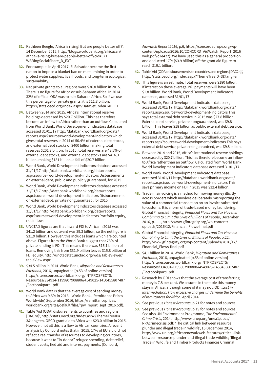- **31.** Kathleen Beegle, 'Africa is rising! But are people better off?', 14 December 2015, [http://blogs.worldbank.org/africacan/](http://blogs.worldbank.org/africacan/africa-is-rising-but-are-people-better-off?cid=EXT_WBBlogSocialShare_D_EXT) [africa-is-rising-but-are-people-better-off?cid=EXT\\_](http://blogs.worldbank.org/africacan/africa-is-rising-but-are-people-better-off?cid=EXT_WBBlogSocialShare_D_EXT) [WBBlogSocialShare\\_D\\_EXT](http://blogs.worldbank.org/africacan/africa-is-rising-but-are-people-better-off?cid=EXT_WBBlogSocialShare_D_EXT)
- **32.** For example, in April 2017, El Salvador became the first nation to impose a blanket ban on metal mining in order to protect water supplies, livelihoods, and long-term ecological sustainability.
- **33.** Net private grants to all regions were \$36.8 billion in 2015. There is no figure for Africa or sub-Saharan Africa. In 2014 32% of official ODA was to sub-Saharan Africa. So if we use this percentage for private grants, it is \$11.8 billion. [https://stats.oecd.org/Index.aspx?DataSetCode=TABLE1](http://stats.oecd.org/Index.aspx?DataSetCode=TABLE1)
- **34.** Between 2014 and 2015, Africa's international reserve holdings decreased by \$20.7 billion. This has therefore become an inflow to Africa rather than an outflow. Calculated from World Bank, World Development Indicators database accessed 31/01/17 h[ttp://databank.worldbank.org/data/](http://databank.worldbank.org/data/reports.aspx?source=world-development-indicators) [reports.aspx?source=world-development-indicators w](http://databank.worldbank.org/data/reports.aspx?source=world-development-indicators)hich gives total reserves in 2014 of 50.4% of external debt stocks, and external debt stocks of \$400 billion, making total reserves \$201.7 billion. In 2015, total reserves are 43.5% of external debt stocks, and external debt stocks are \$416.3 billion, making \$181 billion, a fall of \$20.7 billion.
- **35.** World Bank, World Development Indicators database accessed 31/01/17 [http://databank.worldbank.org/data/reports.](http://databank.worldbank.org/data/reports.aspx?source=world-development-indicators) [aspx?source=world-development-indicators](http://databank.worldbank.org/data/reports.aspx?source=world-development-indicators) Disbursements on external debt, public and publicly guaranteed, for 2015
- **36.** World Bank, World Development Indicators database accessed 31/01/17 [http://databank.worldbank.org/data/reports.](http://databank.worldbank.org/data/reports.aspx?source=world-development-indicators) [aspx?source=world-development-indicators](http://databank.worldbank.org/data/reports.aspx?source=world-development-indicators) Disbursements on external debt, private nonguaranteed, for 2015
- **37.** World Bank, World Development Indicators database accessed 31/01/17 [http://databank.worldbank.org/data/reports.](http://databank.worldbank.org/data/reports.aspx?source=world-development-indicators) [aspx?source=world-development-indicators](http://databank.worldbank.org/data/reports.aspx?source=world-development-indicators) Portfolio equity, net inflows
- **38.** UNCTAD figures are that inward FDI to Africa in 2015 was \$41.2 billion and outward was \$9.3 billion, so the net figure is \$31.9 billion. However, this includes loans which are counted above. Figures from the World Bank suggest that 78% of private lending is FDI. This means there was \$16.1 billion of loans. Removing this from \$31.9 billion leaves \$15.8 billion of FDI equity. [http://unctadstat.unctad.org/wds/TableViewer/](http://unctadstat.unctad.org/wds/TableViewer/tableView.aspx) [tableView.aspx](http://unctadstat.unctad.org/wds/TableViewer/tableView.aspx)
- **39.** \$34.5 billion in 2014. World Bank, Migration and Remittances Factbook, 2016, unpaginated [p.53 of online version] [http://siteresources.worldbank.org/INTPROSPECTS/](http://siteresources.worldbank.org/INTPROSPECTS/Resources/334934-1199807908806/4549025-1450455807487
/Factbookpart1.pdf
) [Resources/334934-1199807908806/4549025-1450455807487](http://siteresources.worldbank.org/INTPROSPECTS/Resources/334934-1199807908806/4549025-1450455807487
/Factbookpart1.pdf
)  [/Factbookpart1.pdf](http://siteresources.worldbank.org/INTPROSPECTS/Resources/334934-1199807908806/4549025-1450455807487
/Factbookpart1.pdf
)
- **40.** World Bank data is that the average cost of sending money to Africa was 9.5% in 2016. (World Bank, 'Remittance Prices Worldwide', September 2016, https:/[/remittanceprices.](http://remittanceprices.worldbank.org/sites/default/files/rpw_report_sept_2016.pdf) [worldbank.org/sites/default/files/rpw\\_report\\_sept\\_2016.pdf\)](http://remittanceprices.worldbank.org/sites/default/files/rpw_report_sept_2016.pdf).
- **41.** Table 'Aid (ODA) disbursements to countries and regions [DAC2a]', [http://stats.oecd.org/Index.aspx?ThemeTreeID=](http://stats.oecd.org/Index.aspx?ThemeTreeID=
3&lang=en) [3&lang=en.](http://stats.oecd.org/Index.aspx?ThemeTreeID=
3&lang=en) OECD grant aid to Africa was \$23.0 billion in 2015. However, not all this is a flow to African countries. A recent analysis by Concord notes that in 2015, 17% of EU aid did not reflect a real transfer of resources to developing countries, because it went to "in-donor" refugee spending, debt relief, student costs, tied aid and interest payments. (Concord,

Aidwatch Report 2016, p.6, [https://concordeurope.org/wp](http://oncordeurope.org/wp-content/uploads/2016/10/CONCORD_AidWatch_Report_2016_
web.pdf?c1e422)[content/uploads/2016/10/CONCORD\\_AidWatch\\_Report\\_2016\\_](http://oncordeurope.org/wp-content/uploads/2016/10/CONCORD_AidWatch_Report_2016_
web.pdf?c1e422) [web.pdf?c1e422\)](http://oncordeurope.org/wp-content/uploads/2016/10/CONCORD_AidWatch_Report_2016_
web.pdf?c1e422). We have used this as a general proportion and deducted 17% (\$3.9 billion) off the grant aid figure to reach \$19.1 billion.

- **42.** Table 'Aid (ODA) disbursements to countries and regions [DAC2a]', http:/[/stats.oecd.org/Index.aspx?ThemeTreeID=3&lang=en](http://stats.oecd.org/Index.aspx?ThemeTreeID=3&lang=en)
- **43.** This figure is an estimate. Total reserves were \$180 billion. If interest on these average 1%, payments will have been \$1.8 billion. World Bank, World Development Indicators database, accessed 31/01/17
- **44.** World Bank, World Development Indicators database, accessed 31/01/17. h[ttp://databank.worldbank.org/data/](http:////databank.worldbank.org/data/reports.aspx?source=world-development-indicators) [reports.aspx?source=world-development-indicators T](http:////databank.worldbank.org/data/reports.aspx?source=world-development-indicators)his says total external debt service in 2015 was \$27.8 billion. External debt service, private nonguaranteed, was \$9.8 billion. This leaves \$18 billion as public external debt service.
- **45.** World Bank, World Development Indicators database, accessed 31/01/17. h[ttp://databank.worldbank.org/data/](http://databank.worldbank.org/data/reports.aspx?source=world-development-indicators) [reports.aspx?source=world-development-indicators](http://databank.worldbank.org/data/reports.aspx?source=world-development-indicators) This says external debt service, private nonguaranteed, was \$9.8 billion.
- **46.** Between 2014 and 2015, Africa's international reserve holdings decreased by \$20.7 billion. This has therefore become an inflow to Africa rather than an outflow. Calculated from World Bank, World Development Indicators database accessed 31/01/17
- **47.** World Bank, World Development Indicators database, accessed 31/01/17 h[ttp://databank.worldbank.org/data/](http://databank.worldbank.org/data/reports.aspx?source=world-development-indicators) [reports.aspx?source=world-development-indicators T](http://databank.worldbank.org/data/reports.aspx?source=world-development-indicators)his says primary income on FDI in 2015 was \$32.4 billion.
- **48.** Trade misinvoicing is a method for moving money illicitly across borders which involves deliberately misreporting the value of a commercial transaction on an invoice submitted to customs. It is a form of trade-based money laundering. Global Financial Integrity, Financial Flows and Tax Havens: Combining to Limit the Lives of Billions of People, December 2016, p.111, http:/[/www.gfintegrity.org/wp-content/](http://www.gfintegrity.org/wp-content/uploads/2016/12/Financial_Flows-final.pdf) [uploads/2016/12/Financial\\_Flows-final.pdf](http://www.gfintegrity.org/wp-content/uploads/2016/12/Financial_Flows-final.pdf)
- **49.** Global Financial Integrity, Financial Flows and Tax Havens: Combining to Limit the Lives of Billions of People, p.22, [http://www.gfintegrity.org/wp-content/uploads/2016/12/](http://www.gfintegrity.org/wp-content/uploads/2016/12/Financial_Flows-final.pdf) [Financial\\_Flows-final.pdf](http://www.gfintegrity.org/wp-content/uploads/2016/12/Financial_Flows-final.pdf)
- **50.** \$4.1 billion in 2014. World Bank, Migration and Remittances Factbook, 2016, unpaginated [p.53 of online version] [http://siteresources.worldbank.org/INTPROSPECTS/](http://siteresources.worldbank.org/INTPROSPECTS/Resources/334934-1199807908806/4549025-1450455807487
/Factbookpart1.pdf) [Resources/334934-1199807908806/4549025-1450455807487](http://siteresources.worldbank.org/INTPROSPECTS/Resources/334934-1199807908806/4549025-1450455807487
/Factbookpart1.pdf)  [/Factbookpart1.pdf](http://siteresources.worldbank.org/INTPROSPECTS/Resources/334934-1199807908806/4549025-1450455807487
/Factbookpart1.pdf)
- **51.** Research by ODI shows that the average cost of transferring money is 7.8 per cent. We assume in the table this money stays in Africa, although some of it may not. ODI, Lost in Intermediation: How excessive charges undermine the benefits of remittances for Africa, April 2014
- **52.** See previous Honest Accounts, p.21 for notes and sources
- **53.** See previous Honest Accounts, p.19 for notes and sources. See also UN Environment Programme, The Environmental Crime Crisis, 2014, h[ttp://www.unep.org/unea1/docs/](http://www.unep.org/unea1/docs/RRAcrimecrisis.pdf) [RRAcrimecrisis.pdf;](http://www.unep.org/unea1/docs/RRAcrimecrisis.pdf) 'The critical link between resource plunder and illegal trade in wildlife', 16 December 2014, [http://www.un.org/africarenewal/web-features/critical-link](http://www.un.org/africarenewal/web-features/critical-link-between-resource-plunder-and-illegal-trade-wildlife)[between-resource-plunder-and-illegal-trade-wildlife;](http://www.un.org/africarenewal/web-features/critical-link-between-resource-plunder-and-illegal-trade-wildlife) 'Illegal Trade in Wildlife and Timber Products Finances Criminal